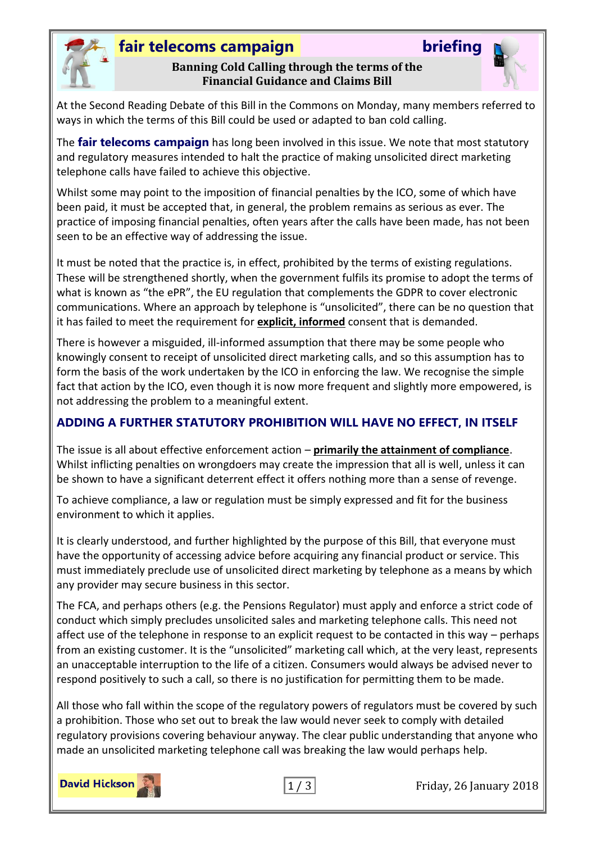

### **fair telecoms campaign briefing**

#### **Banning Cold Calling through the terms of the Financial Guidance and Claims Bill**

At the Second Reading Debate of this Bill in the Commons on Monday, many members referred to ways in which the terms of this Bill could be used or adapted to ban cold calling.

The **fair telecoms campaign** has long been involved in this issue. We note that most statutory and regulatory measures intended to halt the practice of making unsolicited direct marketing telephone calls have failed to achieve this objective.

Whilst some may point to the imposition of financial penalties by the ICO, some of which have been paid, it must be accepted that, in general, the problem remains as serious as ever. The practice of imposing financial penalties, often years after the calls have been made, has not been seen to be an effective way of addressing the issue.

It must be noted that the practice is, in effect, prohibited by the terms of existing regulations. These will be strengthened shortly, when the government fulfils its promise to adopt the terms of what is known as "the ePR", the EU regulation that complements the GDPR to cover electronic communications. Where an approach by telephone is "unsolicited", there can be no question that it has failed to meet the requirement for **explicit, informed** consent that is demanded.

There is however a misguided, ill-informed assumption that there may be some people who knowingly consent to receipt of unsolicited direct marketing calls, and so this assumption has to form the basis of the work undertaken by the ICO in enforcing the law. We recognise the simple fact that action by the ICO, even though it is now more frequent and slightly more empowered, is not addressing the problem to a meaningful extent.

#### **ADDING A FURTHER STATUTORY PROHIBITION WILL HAVE NO EFFECT, IN ITSELF**

The issue is all about effective enforcement action – **primarily the attainment of compliance**. Whilst inflicting penalties on wrongdoers may create the impression that all is well, unless it can be shown to have a significant deterrent effect it offers nothing more than a sense of revenge.

To achieve compliance, a law or regulation must be simply expressed and fit for the business environment to which it applies.

It is clearly understood, and further highlighted by the purpose of this Bill, that everyone must have the opportunity of accessing advice before acquiring any financial product or service. This must immediately preclude use of unsolicited direct marketing by telephone as a means by which any provider may secure business in this sector.

The FCA, and perhaps others (e.g. the Pensions Regulator) must apply and enforce a strict code of conduct which simply precludes unsolicited sales and marketing telephone calls. This need not affect use of the telephone in response to an explicit request to be contacted in this way – perhaps from an existing customer. It is the "unsolicited" marketing call which, at the very least, represents an unacceptable interruption to the life of a citizen. Consumers would always be advised never to respond positively to such a call, so there is no justification for permitting them to be made.

All those who fall within the scope of the regulatory powers of regulators must be covered by such a prohibition. Those who set out to break the law would never seek to comply with detailed regulatory provisions covering behaviour anyway. The clear public understanding that anyone who made an unsolicited marketing telephone call was breaking the law would perhaps help.





1 / 3 Friday, 26 January 2018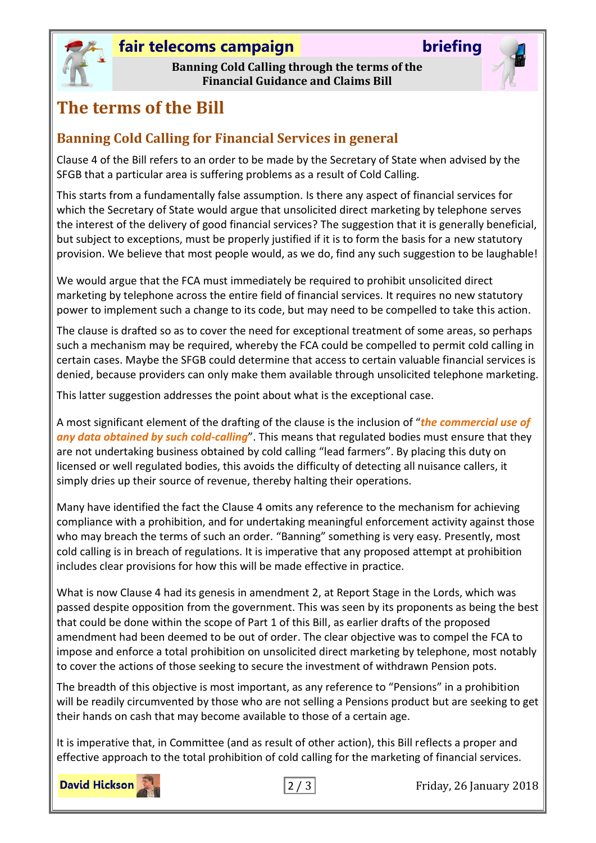# **fair telecoms campaign briefing**

**Banning Cold Calling through the terms of the Financial Guidance and Claims Bill**

# **The terms of the Bill**

### **Banning Cold Calling for Financial Services in general**

Clause 4 of the Bill refers to an order to be made by the Secretary of State when advised by the SFGB that a particular area is suffering problems as a result of Cold Calling.

This starts from a fundamentally false assumption. Is there any aspect of financial services for which the Secretary of State would argue that unsolicited direct marketing by telephone serves the interest of the delivery of good financial services? The suggestion that it is generally beneficial, but subject to exceptions, must be properly justified if it is to form the basis for a new statutory provision. We believe that most people would, as we do, find any such suggestion to be laughable!

We would argue that the FCA must immediately be required to prohibit unsolicited direct marketing by telephone across the entire field of financial services. It requires no new statutory power to implement such a change to its code, but may need to be compelled to take this action.

The clause is drafted so as to cover the need for exceptional treatment of some areas, so perhaps such a mechanism may be required, whereby the FCA could be compelled to permit cold calling in certain cases. Maybe the SFGB could determine that access to certain valuable financial services is denied, because providers can only make them available through unsolicited telephone marketing.

This latter suggestion addresses the point about what is the exceptional case.

A most significant element of the drafting of the clause is the inclusion of "*the commercial use of any data obtained by such cold-calling*". This means that regulated bodies must ensure that they are not undertaking business obtained by cold calling "lead farmers". By placing this duty on licensed or well regulated bodies, this avoids the difficulty of detecting all nuisance callers, it simply dries up their source of revenue, thereby halting their operations.

Many have identified the fact the Clause 4 omits any reference to the mechanism for achieving compliance with a prohibition, and for undertaking meaningful enforcement activity against those who may breach the terms of such an order. "Banning" something is very easy. Presently, most cold calling is in breach of regulations. It is imperative that any proposed attempt at prohibition includes clear provisions for how this will be made effective in practice.

What is now Clause 4 had its genesis in amendment 2, at Report Stage in the Lords, which was passed despite opposition from the government. This was seen by its proponents as being the best that could be done within the scope of Part 1 of this Bill, as earlier drafts of the proposed amendment had been deemed to be out of order. The clear objective was to compel the FCA to impose and enforce a total prohibition on unsolicited direct marketing by telephone, most notably to cover the actions of those seeking to secure the investment of withdrawn Pension pots.

The breadth of this objective is most important, as any reference to "Pensions" in a prohibition will be readily circumvented by those who are not selling a Pensions product but are seeking to get their hands on cash that may become available to those of a certain age.

It is imperative that, in Committee (and as result of other action), this Bill reflects a proper and effective approach to the total prohibition of cold calling for the marketing of financial services.

**David Hickson** 



2 / 3 Friday, 26 January 2018